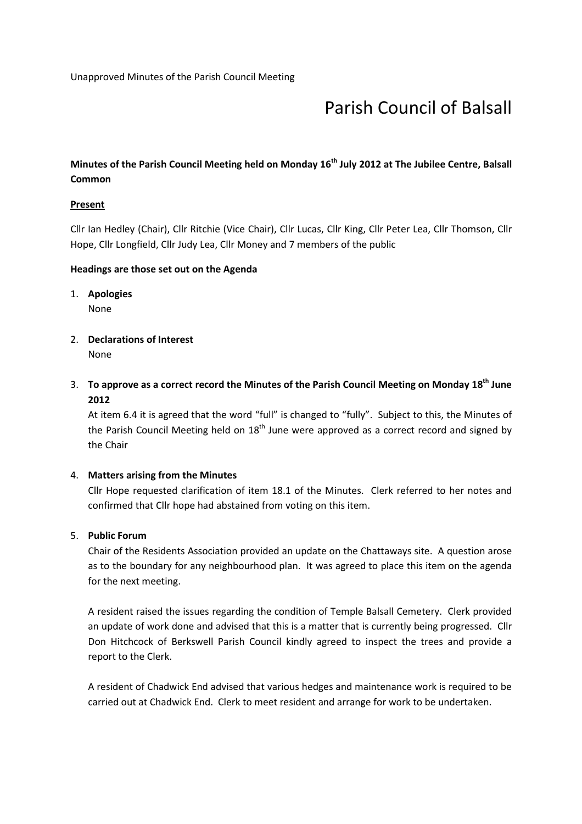# Parish Council of Balsall

# Minutes of the Parish Council Meeting held on Monday 16<sup>th</sup> July 2012 at The Jubilee Centre, Balsall Common

## **Present**

Cllr Ian Hedley (Chair), Cllr Ritchie (Vice Chair), Cllr Lucas, Cllr King, Cllr Peter Lea, Cllr Thomson, Cllr Hope, Cllr Longfield, Cllr Judy Lea, Cllr Money and 7 members of the public

### Headings are those set out on the Agenda

1. Apologies

None

- 2. Declarations of Interest None
- 3. To approve as a correct record the Minutes of the Parish Council Meeting on Monday 18<sup>th</sup> June 2012

At item 6.4 it is agreed that the word "full" is changed to "fully". Subject to this, the Minutes of the Parish Council Meeting held on 18<sup>th</sup> June were approved as a correct record and signed by the Chair

#### 4. Matters arising from the Minutes

Cllr Hope requested clarification of item 18.1 of the Minutes. Clerk referred to her notes and confirmed that Cllr hope had abstained from voting on this item.

## 5. Public Forum

Chair of the Residents Association provided an update on the Chattaways site. A question arose as to the boundary for any neighbourhood plan. It was agreed to place this item on the agenda for the next meeting.

A resident raised the issues regarding the condition of Temple Balsall Cemetery. Clerk provided an update of work done and advised that this is a matter that is currently being progressed. Cllr Don Hitchcock of Berkswell Parish Council kindly agreed to inspect the trees and provide a report to the Clerk.

A resident of Chadwick End advised that various hedges and maintenance work is required to be carried out at Chadwick End. Clerk to meet resident and arrange for work to be undertaken.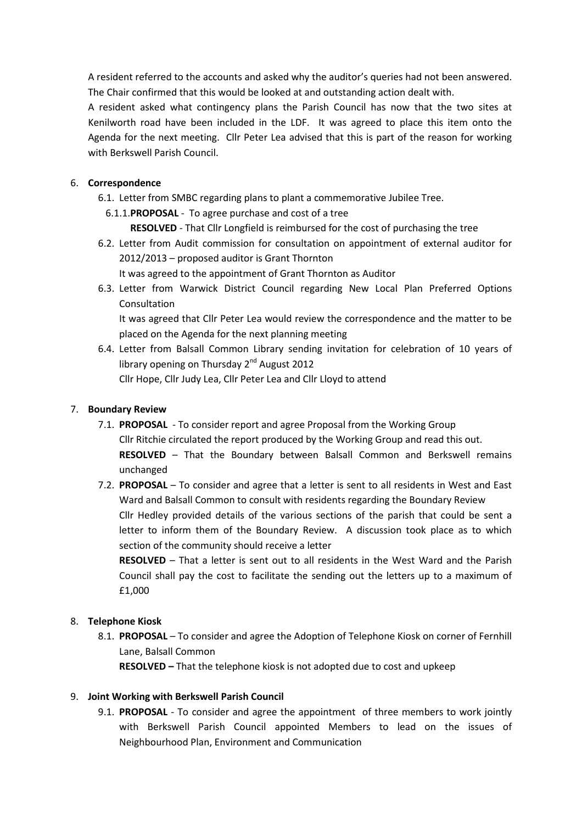A resident referred to the accounts and asked why the auditor's queries had not been answered. The Chair confirmed that this would be looked at and outstanding action dealt with.

A resident asked what contingency plans the Parish Council has now that the two sites at Kenilworth road have been included in the LDF. It was agreed to place this item onto the Agenda for the next meeting. Cllr Peter Lea advised that this is part of the reason for working with Berkswell Parish Council.

## 6. Correspondence

- 6.1. Letter from SMBC regarding plans to plant a commemorative Jubilee Tree.
	- 6.1.1.PROPOSAL To agree purchase and cost of a tree
		- RESOLVED That Cllr Longfield is reimbursed for the cost of purchasing the tree
- 6.2. Letter from Audit commission for consultation on appointment of external auditor for 2012/2013 – proposed auditor is Grant Thornton
	- It was agreed to the appointment of Grant Thornton as Auditor
- 6.3. Letter from Warwick District Council regarding New Local Plan Preferred Options Consultation

It was agreed that Cllr Peter Lea would review the correspondence and the matter to be placed on the Agenda for the next planning meeting

6.4. Letter from Balsall Common Library sending invitation for celebration of 10 years of library opening on Thursday 2<sup>nd</sup> August 2012 Cllr Hope, Cllr Judy Lea, Cllr Peter Lea and Cllr Lloyd to attend

## 7. Boundary Review

- 7.1. PROPOSAL To consider report and agree Proposal from the Working Group Cllr Ritchie circulated the report produced by the Working Group and read this out. RESOLVED – That the Boundary between Balsall Common and Berkswell remains unchanged
- 7.2. PROPOSAL To consider and agree that a letter is sent to all residents in West and East Ward and Balsall Common to consult with residents regarding the Boundary Review Cllr Hedley provided details of the various sections of the parish that could be sent a letter to inform them of the Boundary Review. A discussion took place as to which section of the community should receive a letter

RESOLVED – That a letter is sent out to all residents in the West Ward and the Parish Council shall pay the cost to facilitate the sending out the letters up to a maximum of £1,000

## 8. Telephone Kiosk

8.1. PROPOSAL – To consider and agree the Adoption of Telephone Kiosk on corner of Fernhill Lane, Balsall Common

RESOLVED – That the telephone kiosk is not adopted due to cost and upkeep

# 9. Joint Working with Berkswell Parish Council

9.1. PROPOSAL - To consider and agree the appointment of three members to work jointly with Berkswell Parish Council appointed Members to lead on the issues of Neighbourhood Plan, Environment and Communication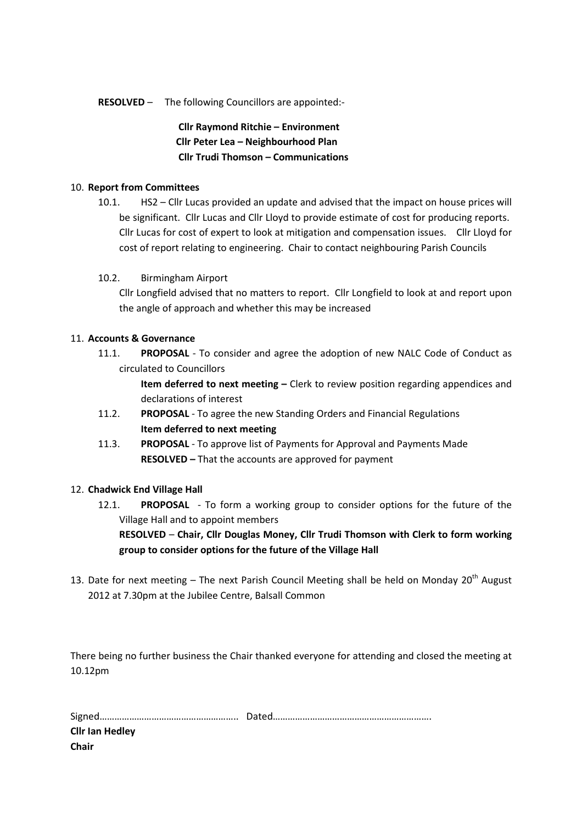#### RESOLVED – The following Councillors are appointed:-

Cllr Raymond Ritchie – Environment Cllr Peter Lea – Neighbourhood Plan Cllr Trudi Thomson – Communications

### 10. Report from Committees

10.1. HS2 – Cllr Lucas provided an update and advised that the impact on house prices will be significant. Cllr Lucas and Cllr Lloyd to provide estimate of cost for producing reports. Cllr Lucas for cost of expert to look at mitigation and compensation issues. Cllr Lloyd for cost of report relating to engineering. Chair to contact neighbouring Parish Councils

### 10.2. Birmingham Airport

Cllr Longfield advised that no matters to report. Cllr Longfield to look at and report upon the angle of approach and whether this may be increased

## 11. Accounts & Governance

11.1. PROPOSAL - To consider and agree the adoption of new NALC Code of Conduct as circulated to Councillors

> Item deferred to next meeting - Clerk to review position regarding appendices and declarations of interest

- 11.2. PROPOSAL To agree the new Standing Orders and Financial Regulations Item deferred to next meeting
- 11.3. PROPOSAL To approve list of Payments for Approval and Payments Made RESOLVED – That the accounts are approved for payment

#### 12. Chadwick End Village Hall

12.1. PROPOSAL - To form a working group to consider options for the future of the Village Hall and to appoint members

RESOLVED – Chair, Cllr Douglas Money, Cllr Trudi Thomson with Clerk to form working group to consider options for the future of the Village Hall

13. Date for next meeting – The next Parish Council Meeting shall be held on Monday  $20<sup>th</sup>$  August 2012 at 7.30pm at the Jubilee Centre, Balsall Common

There being no further business the Chair thanked everyone for attending and closed the meeting at 10.12pm

| <b>Cllr Ian Hedley</b> |  |
|------------------------|--|
| Chair                  |  |